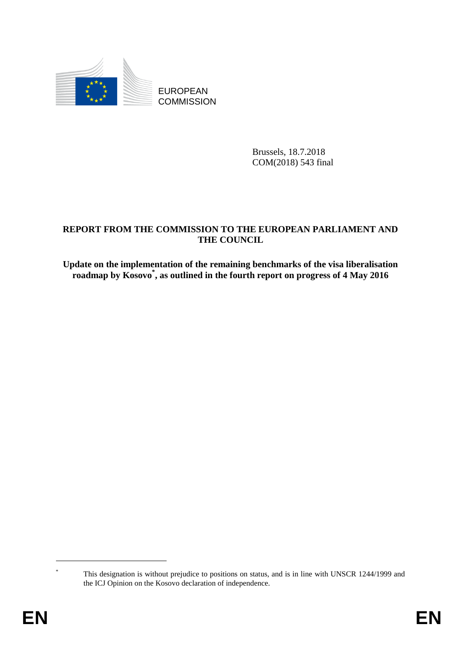

EUROPEAN **COMMISSION** 

> Brussels, 18.7.2018 COM(2018) 543 final

# **REPORT FROM THE COMMISSION TO THE EUROPEAN PARLIAMENT AND THE COUNCIL**

**Update on the implementation of the remaining benchmarks of the visa liberalisation roadmap by Kosovo\* , as outlined in the fourth report on progress of 4 May 2016**

This designation is without prejudice to positions on status, and is in line with UNSCR 1244/1999 and the ICJ Opinion on the Kosovo declaration of independence.

1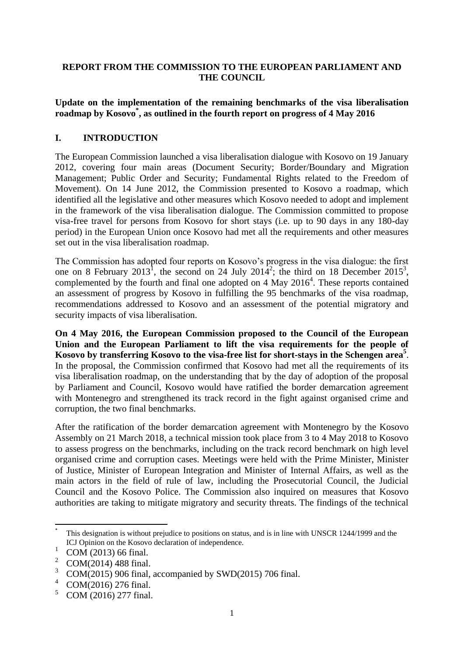#### **REPORT FROM THE COMMISSION TO THE EUROPEAN PARLIAMENT AND THE COUNCIL**

#### **Update on the implementation of the remaining benchmarks of the visa liberalisation roadmap by Kosovo\* , as outlined in the fourth report on progress of 4 May 2016**

#### **I. INTRODUCTION**

The European Commission launched a visa liberalisation dialogue with Kosovo on 19 January 2012, covering four main areas (Document Security; Border/Boundary and Migration Management; Public Order and Security; Fundamental Rights related to the Freedom of Movement). On 14 June 2012, the Commission presented to Kosovo a roadmap, which identified all the legislative and other measures which Kosovo needed to adopt and implement in the framework of the visa liberalisation dialogue. The Commission committed to propose visa-free travel for persons from Kosovo for short stays (i.e. up to 90 days in any 180-day period) in the European Union once Kosovo had met all the requirements and other measures set out in the visa liberalisation roadmap.

The Commission has adopted four reports on Kosovo's progress in the visa dialogue: the first one on 8 February 2013<sup>1</sup>, the second on 24 July 2014<sup>2</sup>; the third on 18 December 2015<sup>3</sup>, complemented by the fourth and final one adopted on  $4$  May  $2016<sup>4</sup>$ . These reports contained an assessment of progress by Kosovo in fulfilling the 95 benchmarks of the visa roadmap, recommendations addressed to Kosovo and an assessment of the potential migratory and security impacts of visa liberalisation.

**On 4 May 2016, the European Commission proposed to the Council of the European Union and the European Parliament to lift the visa requirements for the people of Kosovo by transferring Kosovo to the visa-free list for short-stays in the Schengen area<sup>5</sup>** . In the proposal, the Commission confirmed that Kosovo had met all the requirements of its visa liberalisation roadmap, on the understanding that by the day of adoption of the proposal by Parliament and Council, Kosovo would have ratified the border demarcation agreement with Montenegro and strengthened its track record in the fight against organised crime and corruption, the two final benchmarks.

After the ratification of the border demarcation agreement with Montenegro by the Kosovo Assembly on 21 March 2018, a technical mission took place from 3 to 4 May 2018 to Kosovo to assess progress on the benchmarks, including on the track record benchmark on high level organised crime and corruption cases. Meetings were held with the Prime Minister, Minister of Justice, Minister of European Integration and Minister of Internal Affairs, as well as the main actors in the field of rule of law, including the Prosecutorial Council, the Judicial Council and the Kosovo Police. The Commission also inquired on measures that Kosovo authorities are taking to mitigate migratory and security threats. The findings of the technical

1

<sup>\*</sup> This designation is without prejudice to positions on status, and is in line with UNSCR 1244/1999 and the ICJ Opinion on the Kosovo declaration of independence.

 $\frac{1}{2}$  COM (2013) 66 final.

<sup>&</sup>lt;sup>2</sup> COM(2014) 488 final.

 $\frac{3}{4}$  COM(2015) 906 final, accompanied by SWD(2015) 706 final.

 $^{4}$  COM(2016) 276 final.

<sup>5</sup> COM (2016) 277 final.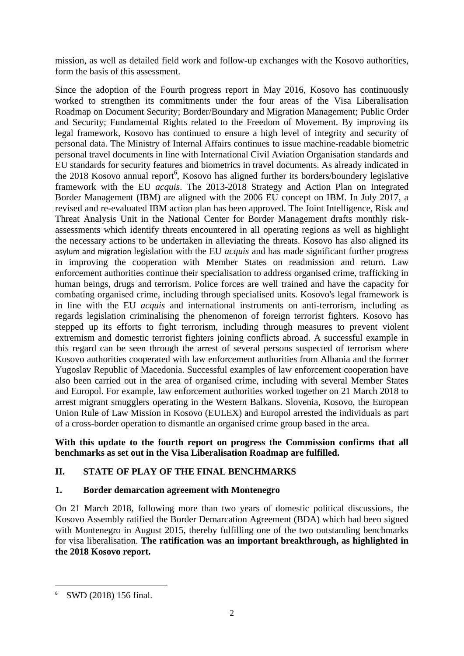mission, as well as detailed field work and follow-up exchanges with the Kosovo authorities, form the basis of this assessment.

Since the adoption of the Fourth progress report in May 2016, Kosovo has continuously worked to strengthen its commitments under the four areas of the Visa Liberalisation Roadmap on Document Security; Border/Boundary and Migration Management; Public Order and Security; Fundamental Rights related to the Freedom of Movement. By improving its legal framework, Kosovo has continued to ensure a high level of integrity and security of personal data. The Ministry of Internal Affairs continues to issue machine-readable biometric personal travel documents in line with International Civil Aviation Organisation standards and EU standards for security features and biometrics in travel documents. As already indicated in the 2018 Kosovo annual report<sup>6</sup>, Kosovo has aligned further its borders/boundery legislative framework with the EU *acquis*. The 2013-2018 Strategy and Action Plan on Integrated Border Management (IBM) are aligned with the 2006 EU concept on IBM. In July 2017, a revised and re-evaluated IBM action plan has been approved. The Joint Intelligence, Risk and Threat Analysis Unit in the National Center for Border Management drafts monthly riskassessments which identify threats encountered in all operating regions as well as highlight the necessary actions to be undertaken in alleviating the threats. Kosovo has also aligned its asylum and migration legislation with the EU *acquis* and has made significant further progress in improving the cooperation with Member States on readmission and return. Law enforcement authorities continue their specialisation to address organised crime, trafficking in human beings, drugs and terrorism. Police forces are well trained and have the capacity for combating organised crime, including through specialised units. Kosovo's legal framework is in line with the EU *acquis* and international instruments on anti-terrorism, including as regards legislation criminalising the phenomenon of foreign terrorist fighters. Kosovo has stepped up its efforts to fight terrorism, including through measures to prevent violent extremism and domestic terrorist fighters joining conflicts abroad. A successful example in this regard can be seen through the arrest of several persons suspected of terrorism where Kosovo authorities cooperated with law enforcement authorities from Albania and the former Yugoslav Republic of Macedonia. Successful examples of law enforcement cooperation have also been carried out in the area of organised crime, including with several Member States and Europol. For example, law enforcement authorities worked together on 21 March 2018 to arrest migrant smugglers operating in the Western Balkans. Slovenia, Kosovo, the European Union Rule of Law Mission in Kosovo (EULEX) and Europol arrested the individuals as part of a cross-border operation to dismantle an organised crime group based in the area.

## **With this update to the fourth report on progress the Commission confirms that all benchmarks as set out in the Visa Liberalisation Roadmap are fulfilled.**

# **II. STATE OF PLAY OF THE FINAL BENCHMARKS**

## **1. Border demarcation agreement with Montenegro**

On 21 March 2018*,* following more than two years of domestic political discussions*,* the Kosovo Assembly ratified the Border Demarcation Agreement (BDA) which had been signed with Montenegro in August 2015, thereby fulfilling one of the two outstanding benchmarks for visa liberalisation. **The ratification was an important breakthrough, as highlighted in the 2018 Kosovo report.** 

**.** 

<sup>6</sup> SWD (2018) 156 final.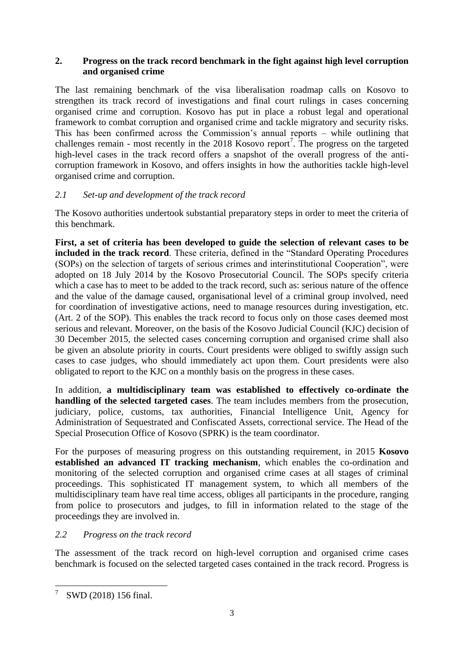# **2. Progress on the track record benchmark in the fight against high level corruption and organised crime**

The last remaining benchmark of the visa liberalisation roadmap calls on Kosovo to strengthen its track record of investigations and final court rulings in cases concerning organised crime and corruption. Kosovo has put in place a robust legal and operational framework to combat corruption and organised crime and tackle migratory and security risks. This has been confirmed across the Commission's annual reports – while outlining that challenges remain - most recently in the 2018 Kosovo report<sup>7</sup>. The progress on the targeted high-level cases in the track record offers a snapshot of the overall progress of the anticorruption framework in Kosovo, and offers insights in how the authorities tackle high-level organised crime and corruption.

# *2.1 Set-up and development of the track record*

The Kosovo authorities undertook substantial preparatory steps in order to meet the criteria of this benchmark.

**First, a set of criteria has been developed to guide the selection of relevant cases to be included in the track record**. These criteria, defined in the "Standard Operating Procedures (SOPs) on the selection of targets of serious crimes and interinstitutional Cooperation", were adopted on 18 July 2014 by the Kosovo Prosecutorial Council. The SOPs specify criteria which a case has to meet to be added to the track record, such as: serious nature of the offence and the value of the damage caused, organisational level of a criminal group involved, need for coordination of investigative actions, need to manage resources during investigation, etc. (Art. 2 of the SOP). This enables the track record to focus only on those cases deemed most serious and relevant. Moreover, on the basis of the Kosovo Judicial Council (KJC) decision of 30 December 2015, the selected cases concerning corruption and organised crime shall also be given an absolute priority in courts. Court presidents were obliged to swiftly assign such cases to case judges, who should immediately act upon them. Court presidents were also obligated to report to the KJC on a monthly basis on the progress in these cases.

In addition, **a multidisciplinary team was established to effectively co-ordinate the handling of the selected targeted cases**. The team includes members from the prosecution, judiciary, police, customs, tax authorities, Financial Intelligence Unit, Agency for Administration of Sequestrated and Confiscated Assets, correctional service. The Head of the Special Prosecution Office of Kosovo (SPRK) is the team coordinator.

For the purposes of measuring progress on this outstanding requirement, in 2015 **Kosovo established an advanced IT tracking mechanism**, which enables the co-ordination and monitoring of the selected corruption and organised crime cases at all stages of criminal proceedings. This sophisticated IT management system, to which all members of the multidisciplinary team have real time access, obliges all participants in the procedure, ranging from police to prosecutors and judges, to fill in information related to the stage of the proceedings they are involved in.

# *2.2 Progress on the track record*

The assessment of the track record on high-level corruption and organised crime cases benchmark is focused on the selected targeted cases contained in the track record. Progress is

**.** 

<sup>&</sup>lt;sup>7</sup> SWD (2018) 156 final.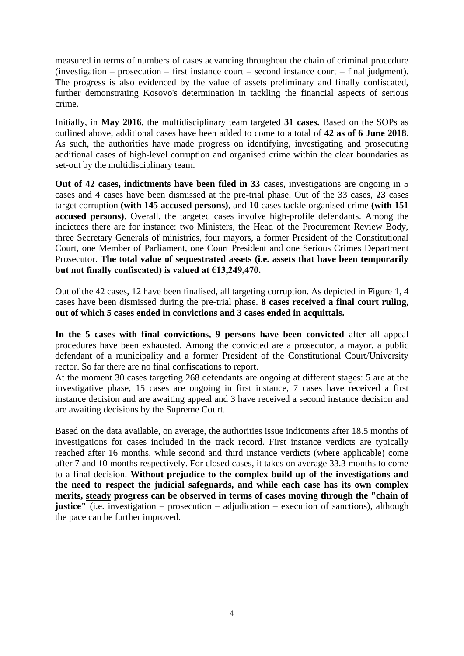measured in terms of numbers of cases advancing throughout the chain of criminal procedure (investigation – prosecution – first instance court – second instance court – final judgment). The progress is also evidenced by the value of assets preliminary and finally confiscated, further demonstrating Kosovo's determination in tackling the financial aspects of serious crime.

Initially, in **May 2016**, the multidisciplinary team targeted **31 cases.** Based on the SOPs as outlined above, additional cases have been added to come to a total of **42 as of 6 June 2018**. As such, the authorities have made progress on identifying, investigating and prosecuting additional cases of high-level corruption and organised crime within the clear boundaries as set-out by the multidisciplinary team.

**Out of 42 cases, indictments have been filed in 33** cases, investigations are ongoing in 5 cases and 4 cases have been dismissed at the pre-trial phase. Out of the 33 cases, **23** cases target corruption **(with 145 accused persons)**, and **10** cases tackle organised crime **(with 151 accused persons)**. Overall, the targeted cases involve high-profile defendants. Among the indictees there are for instance: two Ministers, the Head of the Procurement Review Body, three Secretary Generals of ministries, four mayors, a former President of the Constitutional Court, one Member of Parliament, one Court President and one Serious Crimes Department Prosecutor. **The total value of sequestrated assets (i.e. assets that have been temporarily but not finally confiscated) is valued at €13,249,470.** 

Out of the 42 cases, 12 have been finalised, all targeting corruption. As depicted in Figure 1, 4 cases have been dismissed during the pre-trial phase. **8 cases received a final court ruling, out of which 5 cases ended in convictions and 3 cases ended in acquittals.** 

**In the 5 cases with final convictions, 9 persons have been convicted** after all appeal procedures have been exhausted. Among the convicted are a prosecutor, a mayor, a public defendant of a municipality and a former President of the Constitutional Court/University rector. So far there are no final confiscations to report.

At the moment 30 cases targeting 268 defendants are ongoing at different stages: 5 are at the investigative phase, 15 cases are ongoing in first instance, 7 cases have received a first instance decision and are awaiting appeal and 3 have received a second instance decision and are awaiting decisions by the Supreme Court.

Based on the data available, on average, the authorities issue indictments after 18.5 months of investigations for cases included in the track record. First instance verdicts are typically reached after 16 months, while second and third instance verdicts (where applicable) come after 7 and 10 months respectively. For closed cases, it takes on average 33.3 months to come to a final decision. **Without prejudice to the complex build-up of the investigations and the need to respect the judicial safeguards, and while each case has its own complex merits, steady progress can be observed in terms of cases moving through the "chain of justice"** (i.e. investigation – prosecution – adjudication – execution of sanctions), although the pace can be further improved.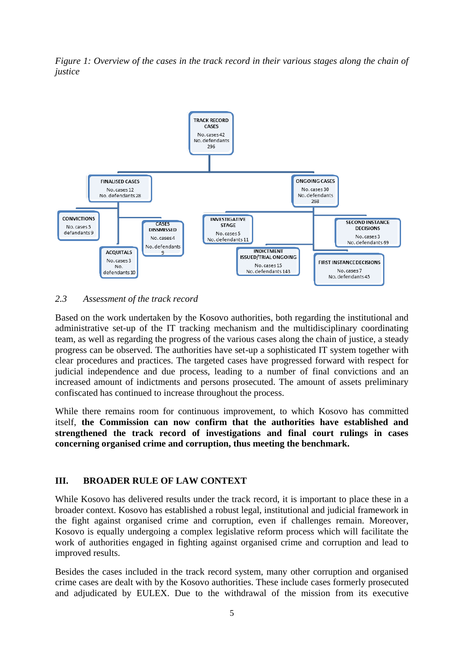*Figure 1: Overview of the cases in the track record in their various stages along the chain of justice* 



*2.3 Assessment of the track record*

Based on the work undertaken by the Kosovo authorities, both regarding the institutional and administrative set-up of the IT tracking mechanism and the multidisciplinary coordinating team, as well as regarding the progress of the various cases along the chain of justice, a steady progress can be observed. The authorities have set-up a sophisticated IT system together with clear procedures and practices. The targeted cases have progressed forward with respect for judicial independence and due process, leading to a number of final convictions and an increased amount of indictments and persons prosecuted. The amount of assets preliminary confiscated has continued to increase throughout the process.

While there remains room for continuous improvement, to which Kosovo has committed itself, **the Commission can now confirm that the authorities have established and strengthened the track record of investigations and final court rulings in cases concerning organised crime and corruption, thus meeting the benchmark.**

## **III. BROADER RULE OF LAW CONTEXT**

While Kosovo has delivered results under the track record, it is important to place these in a broader context. Kosovo has established a robust legal, institutional and judicial framework in the fight against organised crime and corruption, even if challenges remain. Moreover, Kosovo is equally undergoing a complex legislative reform process which will facilitate the work of authorities engaged in fighting against organised crime and corruption and lead to improved results.

Besides the cases included in the track record system, many other corruption and organised crime cases are dealt with by the Kosovo authorities. These include cases formerly prosecuted and adjudicated by EULEX. Due to the withdrawal of the mission from its executive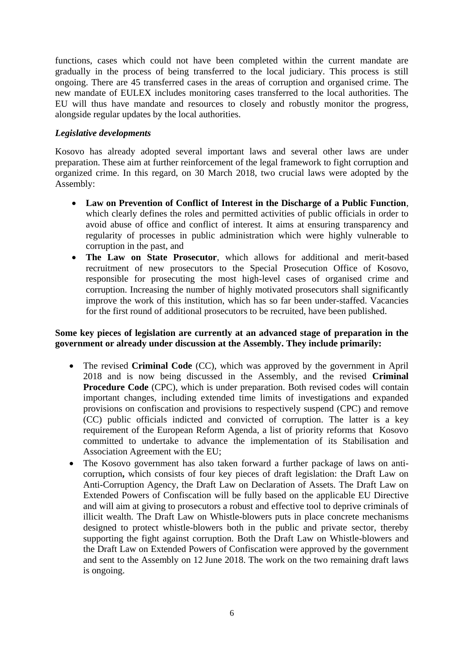functions, cases which could not have been completed within the current mandate are gradually in the process of being transferred to the local judiciary. This process is still ongoing. There are 45 transferred cases in the areas of corruption and organised crime. The new mandate of EULEX includes monitoring cases transferred to the local authorities. The EU will thus have mandate and resources to closely and robustly monitor the progress, alongside regular updates by the local authorities.

#### *Legislative developments*

Kosovo has already adopted several important laws and several other laws are under preparation. These aim at further reinforcement of the legal framework to fight corruption and organized crime. In this regard, on 30 March 2018, two crucial laws were adopted by the Assembly:

- **Law on Prevention of Conflict of Interest in the Discharge of a Public Function**, which clearly defines the roles and permitted activities of public officials in order to avoid abuse of office and conflict of interest. It aims at ensuring transparency and regularity of processes in public administration which were highly vulnerable to corruption in the past, and
- **The Law on State Prosecutor**, which allows for additional and merit-based recruitment of new prosecutors to the Special Prosecution Office of Kosovo, responsible for prosecuting the most high-level cases of organised crime and corruption. Increasing the number of highly motivated prosecutors shall significantly improve the work of this institution, which has so far been under-staffed. Vacancies for the first round of additional prosecutors to be recruited, have been published.

#### **Some key pieces of legislation are currently at an advanced stage of preparation in the government or already under discussion at the Assembly. They include primarily:**

- The revised **Criminal Code** (CC), which was approved by the government in April 2018 and is now being discussed in the Assembly, and the revised **Criminal Procedure Code** (CPC), which is under preparation. Both revised codes will contain important changes, including extended time limits of investigations and expanded provisions on confiscation and provisions to respectively suspend (CPC) and remove (CC) public officials indicted and convicted of corruption. The latter is a key requirement of the European Reform Agenda, a list of priority reforms that Kosovo committed to undertake to advance the implementation of its Stabilisation and Association Agreement with the EU;
- The Kosovo government has also taken forward a further package of laws on anticorruption**,** which consists of four key pieces of draft legislation: the Draft Law on Anti-Corruption Agency, the Draft Law on Declaration of Assets. The Draft Law on Extended Powers of Confiscation will be fully based on the applicable EU Directive and will aim at giving to prosecutors a robust and effective tool to deprive criminals of illicit wealth. The Draft Law on Whistle-blowers puts in place concrete mechanisms designed to protect whistle-blowers both in the public and private sector, thereby supporting the fight against corruption. Both the Draft Law on Whistle-blowers and the Draft Law on Extended Powers of Confiscation were approved by the government and sent to the Assembly on 12 June 2018. The work on the two remaining draft laws is ongoing.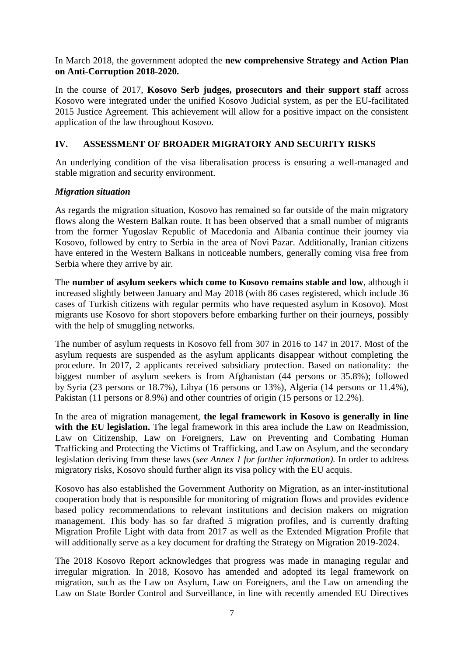In March 2018, the government adopted the **new comprehensive Strategy and Action Plan on Anti-Corruption 2018-2020.** 

In the course of 2017, **Kosovo Serb judges, prosecutors and their support staff** across Kosovo were integrated under the unified Kosovo Judicial system, as per the EU-facilitated 2015 Justice Agreement. This achievement will allow for a positive impact on the consistent application of the law throughout Kosovo.

## **IV. ASSESSMENT OF BROADER MIGRATORY AND SECURITY RISKS**

An underlying condition of the visa liberalisation process is ensuring a well-managed and stable migration and security environment.

# *Migration situation*

As regards the migration situation, Kosovo has remained so far outside of the main migratory flows along the Western Balkan route. It has been observed that a small number of migrants from the former Yugoslav Republic of Macedonia and Albania continue their journey via Kosovo, followed by entry to Serbia in the area of Novi Pazar. Additionally, Iranian citizens have entered in the Western Balkans in noticeable numbers, generally coming visa free from Serbia where they arrive by air.

The **number of asylum seekers which come to Kosovo remains stable and low**, although it increased slightly between January and May 2018 (with 86 cases registered, which include 36 cases of Turkish citizens with regular permits who have requested asylum in Kosovo). Most migrants use Kosovo for short stopovers before embarking further on their journeys, possibly with the help of smuggling networks.

The number of asylum requests in Kosovo fell from 307 in 2016 to 147 in 2017. Most of the asylum requests are suspended as the asylum applicants disappear without completing the procedure. In 2017, 2 applicants received subsidiary protection. Based on nationality: the biggest number of asylum seekers is from Afghanistan (44 persons or 35.8%); followed by Syria (23 persons or 18.7%), Libya (16 persons or 13%), Algeria (14 persons or 11.4%), Pakistan (11 persons or 8.9%) and other countries of origin (15 persons or 12.2%).

In the area of migration management, **the legal framework in Kosovo is generally in line**  with the EU legislation. The legal framework in this area include the Law on Readmission, Law on Citizenship, Law on Foreigners, Law on Preventing and Combating Human Trafficking and Protecting the Victims of Trafficking, and Law on Asylum, and the secondary legislation deriving from these laws (*see Annex 1 for further information).* In order to address migratory risks, Kosovo should further align its visa policy with the EU acquis.

Kosovo has also established the Government Authority on Migration, as an inter-institutional cooperation body that is responsible for monitoring of migration flows and provides evidence based policy recommendations to relevant institutions and decision makers on migration management. This body has so far drafted 5 migration profiles, and is currently drafting Migration Profile Light with data from 2017 as well as the Extended Migration Profile that will additionally serve as a key document for drafting the Strategy on Migration 2019-2024.

The 2018 Kosovo Report acknowledges that progress was made in managing regular and irregular migration. In 2018, Kosovo has amended and adopted its legal framework on migration, such as the Law on Asylum, Law on Foreigners, and the Law on amending the Law on State Border Control and Surveillance, in line with recently amended EU Directives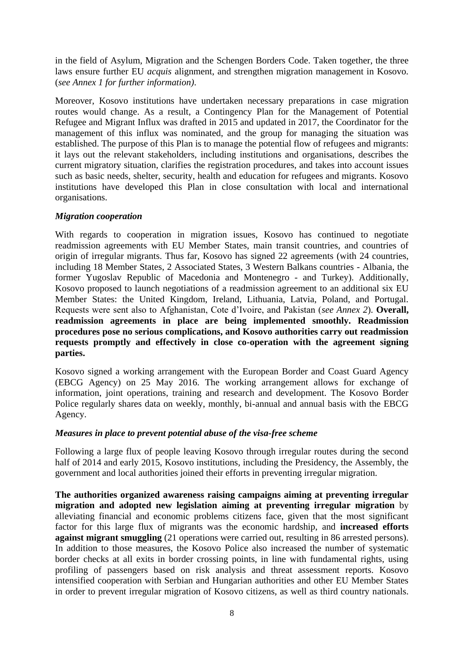in the field of Asylum, Migration and the Schengen Borders Code. Taken together, the three laws ensure further EU *acquis* alignment, and strengthen migration management in Kosovo. (*see Annex 1 for further information)*.

Moreover, Kosovo institutions have undertaken necessary preparations in case migration routes would change. As a result, a Contingency Plan for the Management of Potential Refugee and Migrant Influx was drafted in 2015 and updated in 2017, the Coordinator for the management of this influx was nominated, and the group for managing the situation was established. The purpose of this Plan is to manage the potential flow of refugees and migrants: it lays out the relevant stakeholders, including institutions and organisations, describes the current migratory situation, clarifies the registration procedures, and takes into account issues such as basic needs, shelter, security, health and education for refugees and migrants. Kosovo institutions have developed this Plan in close consultation with local and international organisations.

#### *Migration cooperation*

With regards to cooperation in migration issues, Kosovo has continued to negotiate readmission agreements with EU Member States, main transit countries, and countries of origin of irregular migrants. Thus far, Kosovo has signed 22 agreements (with 24 countries, including 18 Member States, 2 Associated States, 3 Western Balkans countries - Albania, the former Yugoslav Republic of Macedonia and Montenegro - and Turkey). Additionally, Kosovo proposed to launch negotiations of a readmission agreement to an additional six EU Member States: the United Kingdom, Ireland, Lithuania, Latvia, Poland, and Portugal. Requests were sent also to Afghanistan, Cote d'Ivoire, and Pakistan (*see Annex 2*). **Overall, readmission agreements in place are being implemented smoothly. Readmission procedures pose no serious complications, and Kosovo authorities carry out readmission requests promptly and effectively in close co-operation with the agreement signing parties.** 

Kosovo signed a working arrangement with the European Border and Coast Guard Agency (EBCG Agency) on 25 May 2016. The working arrangement allows for exchange of information, joint operations, training and research and development. The Kosovo Border Police regularly shares data on weekly, monthly, bi-annual and annual basis with the EBCG Agency.

## *Measures in place to prevent potential abuse of the visa-free scheme*

Following a large flux of people leaving Kosovo through irregular routes during the second half of 2014 and early 2015, Kosovo institutions, including the Presidency, the Assembly, the government and local authorities joined their efforts in preventing irregular migration.

**The authorities organized awareness raising campaigns aiming at preventing irregular migration and adopted new legislation aiming at preventing irregular migration** by alleviating financial and economic problems citizens face, given that the most significant factor for this large flux of migrants was the economic hardship, and **increased efforts against migrant smuggling** (21 operations were carried out, resulting in 86 arrested persons). In addition to those measures, the Kosovo Police also increased the number of systematic border checks at all exits in border crossing points, in line with fundamental rights, using profiling of passengers based on risk analysis and threat assessment reports. Kosovo intensified cooperation with Serbian and Hungarian authorities and other EU Member States in order to prevent irregular migration of Kosovo citizens, as well as third country nationals.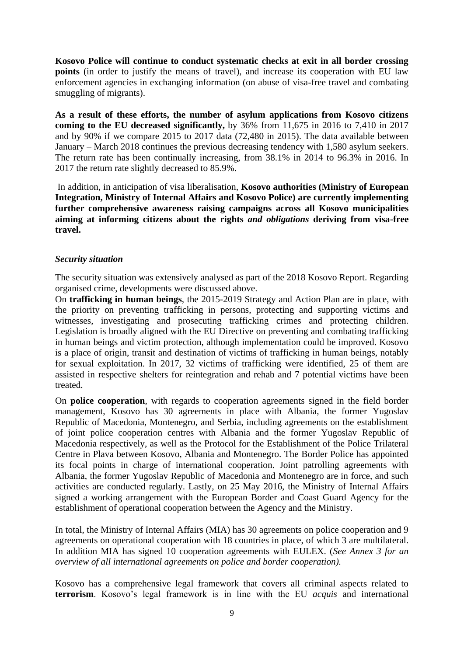**Kosovo Police will continue to conduct systematic checks at exit in all border crossing points** (in order to justify the means of travel), and increase its cooperation with EU law enforcement agencies in exchanging information (on abuse of visa-free travel and combating smuggling of migrants).

**As a result of these efforts, the number of asylum applications from Kosovo citizens coming to the EU decreased significantly,** by 36% from 11,675 in 2016 to 7,410 in 2017 and by 90% if we compare 2015 to 2017 data (72,480 in 2015). The data available between January – March 2018 continues the previous decreasing tendency with 1,580 asylum seekers. The return rate has been continually increasing, from 38.1% in 2014 to 96.3% in 2016. In 2017 the return rate slightly decreased to 85.9%.

In addition, in anticipation of visa liberalisation, **Kosovo authorities (Ministry of European Integration, Ministry of Internal Affairs and Kosovo Police) are currently implementing further comprehensive awareness raising campaigns across all Kosovo municipalities aiming at informing citizens about the rights** *and obligations* **deriving from visa-free travel.**

#### *Security situation*

The security situation was extensively analysed as part of the 2018 Kosovo Report. Regarding organised crime, developments were discussed above.

On **trafficking in human beings**, the 2015-2019 Strategy and Action Plan are in place, with the priority on preventing trafficking in persons, protecting and supporting victims and witnesses, investigating and prosecuting trafficking crimes and protecting children. Legislation is broadly aligned with the EU Directive on preventing and combating trafficking in human beings and victim protection, although implementation could be improved. Kosovo is a place of origin, transit and destination of victims of trafficking in human beings, notably for sexual exploitation. In 2017, 32 victims of trafficking were identified, 25 of them are assisted in respective shelters for reintegration and rehab and 7 potential victims have been treated.

On **police cooperation**, with regards to cooperation agreements signed in the field border management, Kosovo has 30 agreements in place with Albania, the former Yugoslav Republic of Macedonia, Montenegro, and Serbia, including agreements on the establishment of joint police cooperation centres with Albania and the former Yugoslav Republic of Macedonia respectively, as well as the Protocol for the Establishment of the Police Trilateral Centre in Plava between Kosovo, Albania and Montenegro. The Border Police has appointed its focal points in charge of international cooperation. Joint patrolling agreements with Albania, the former Yugoslav Republic of Macedonia and Montenegro are in force, and such activities are conducted regularly. Lastly, on 25 May 2016, the Ministry of Internal Affairs signed a working arrangement with the European Border and Coast Guard Agency for the establishment of operational cooperation between the Agency and the Ministry.

In total, the Ministry of Internal Affairs (MIA) has 30 agreements on police cooperation and 9 agreements on operational cooperation with 18 countries in place, of which 3 are multilateral. In addition MIA has signed 10 cooperation agreements with EULEX. (*See Annex 3 for an overview of all international agreements on police and border cooperation).*

Kosovo has a comprehensive legal framework that covers all criminal aspects related to **terrorism**. Kosovo's legal framework is in line with the EU *acquis* and international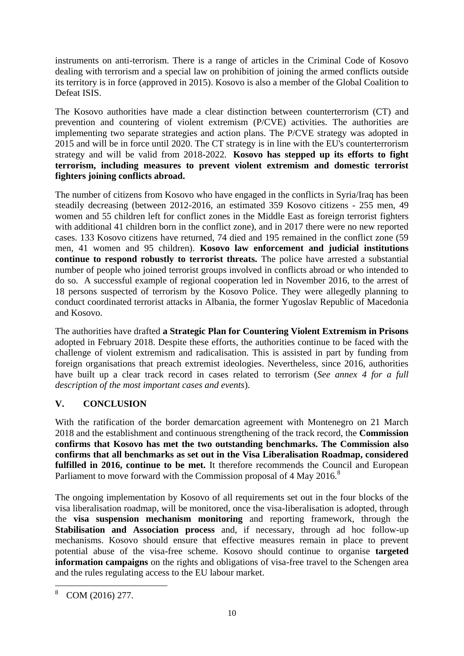instruments on anti-terrorism. There is a range of articles in the Criminal Code of Kosovo dealing with terrorism and a special law on prohibition of joining the armed conflicts outside its territory is in force (approved in 2015). Kosovo is also a member of the Global Coalition to Defeat ISIS.

The Kosovo authorities have made a clear distinction between counterterrorism (CT) and prevention and countering of violent extremism (P/CVE) activities. The authorities are implementing two separate strategies and action plans. The P/CVE strategy was adopted in 2015 and will be in force until 2020. The CT strategy is in line with the EU's counterterrorism strategy and will be valid from 2018-2022. **Kosovo has stepped up its efforts to fight terrorism, including measures to prevent violent extremism and domestic terrorist fighters joining conflicts abroad.**

The number of citizens from Kosovo who have engaged in the conflicts in Syria/Iraq has been steadily decreasing (between 2012-2016, an estimated 359 Kosovo citizens - 255 men, 49 women and 55 children left for conflict zones in the Middle East as foreign terrorist fighters with additional 41 children born in the conflict zone), and in 2017 there were no new reported cases. 133 Kosovo citizens have returned, 74 died and 195 remained in the conflict zone (59 men, 41 women and 95 children). **Kosovo law enforcement and judicial institutions continue to respond robustly to terrorist threats.** The police have arrested a substantial number of people who joined terrorist groups involved in conflicts abroad or who intended to do so. A successful example of regional cooperation led in November 2016, to the arrest of 18 persons suspected of terrorism by the Kosovo Police. They were allegedly planning to conduct coordinated terrorist attacks in Albania, the former Yugoslav Republic of Macedonia and Kosovo.

The authorities have drafted **a Strategic Plan for Countering Violent Extremism in Prisons** adopted in February 2018. Despite these efforts, the authorities continue to be faced with the challenge of violent extremism and radicalisation. This is assisted in part by funding from foreign organisations that preach extremist ideologies. Nevertheless, since 2016, authorities have built up a clear track record in cases related to terrorism (*See annex 4 for a full description of the most important cases and events*).

# **V. CONCLUSION**

With the ratification of the border demarcation agreement with Montenegro on 21 March 2018 and the establishment and continuous strengthening of the track record, the **Commission confirms that Kosovo has met the two outstanding benchmarks. The Commission also confirms that all benchmarks as set out in the Visa Liberalisation Roadmap, considered fulfilled in 2016, continue to be met.** It therefore recommends the Council and European Parliament to move forward with the Commission proposal of 4 May 2016.<sup>8</sup>

The ongoing implementation by Kosovo of all requirements set out in the four blocks of the visa liberalisation roadmap, will be monitored, once the visa-liberalisation is adopted, through the **visa suspension mechanism monitoring** and reporting framework, through the **Stabilisation and Association process** and, if necessary, through ad hoc follow-up mechanisms. Kosovo should ensure that effective measures remain in place to prevent potential abuse of the visa-free scheme. Kosovo should continue to organise **targeted information campaigns** on the rights and obligations of visa-free travel to the Schengen area and the rules regulating access to the EU labour market.

**<sup>.</sup>**  $8$  COM (2016) 277.